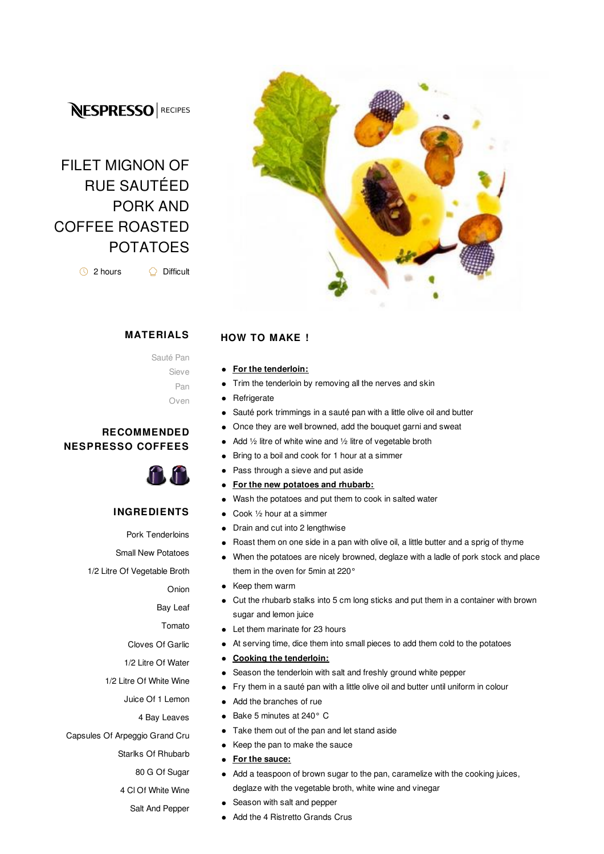## **NESPRESSO** RECIPES

# FILET MIGNON OF RUE SAUTÉED PORK AND COFFEE ROASTED POTATOES

2 hours Difficult



#### **MATERIALS**

Sauté Pan

Sieve Pan

Oven

#### **RECOMMENDED NESPRESSO COFFEES**



#### **INGREDIENTS**

Pork Tenderloins Small New Potatoes 1/2 Litre Of Vegetable Broth Onion Bay Leaf Tomato Cloves Of Garlic 1/2 Litre Of Water 1/2 Litre Of White Wine Juice Of 1 Lemon 4 Bay Leaves Capsules Of Arpeggio Grand Cru Starlks Of Rhubarb 80 G Of Sugar 4 Cl Of White Wine Salt And Pepper

### **HOW TO MAKE !**

- **For the tenderloin:**  $\bullet$
- Trim the tenderloin by removing all the nerves and skin  $\bullet$
- **Refrigerate**  $\bullet$
- $\bullet$ Sauté pork trimmings in a sauté pan with a little olive oil and butter
- Once they are well browned, add the bouquet garni and sweat  $\bullet$
- Add ½ litre of white wine and ½ litre of vegetable broth
- Bring to a boil and cook for 1 hour at a simmer
- Pass through a sieve and put aside  $\bullet$
- $\bullet$ **For the new potatoes and rhubarb:**
- Wash the potatoes and put them to cook in salted water  $\bullet$
- Cook ½ hour at a simmer  $\bullet$
- Drain and cut into 2 lengthwise  $\bullet$
- Roast them on one side in a pan with olive oil, a little butter and a sprig of thyme  $\bullet$
- When the potatoes are nicely browned, deglaze with a ladle of pork stock and place  $\bullet$ them in the oven for 5min at 220°
- Keep them warm  $\bullet$
- Cut the rhubarb stalks into 5 cm long sticks and put them in a container with brown sugar and lemon juice
- $\bullet$ Let them marinate for 23 hours
- At serving time, dice them into small pieces to add them cold to the potatoes  $\bullet$
- **Cooking the tenderloin:**  $\bullet$
- Season the tenderloin with salt and freshly ground white pepper
- Fry them in a sauté pan with a little olive oil and butter until uniform in colour  $\bullet$
- Add the branches of rue  $\bullet$
- Bake 5 minutes at 240° C  $\bullet$
- Take them out of the pan and let stand aside  $\bullet$
- Keep the pan to make the sauce  $\bullet$
- **For the sauce:**  $\bullet$
- Add a teaspoon of brown sugar to the pan, caramelize with the cooking juices, deglaze with the vegetable broth, white wine and vinegar
- $\bullet$ Season with salt and pepper
- Add the 4 Ristretto Grands Crus